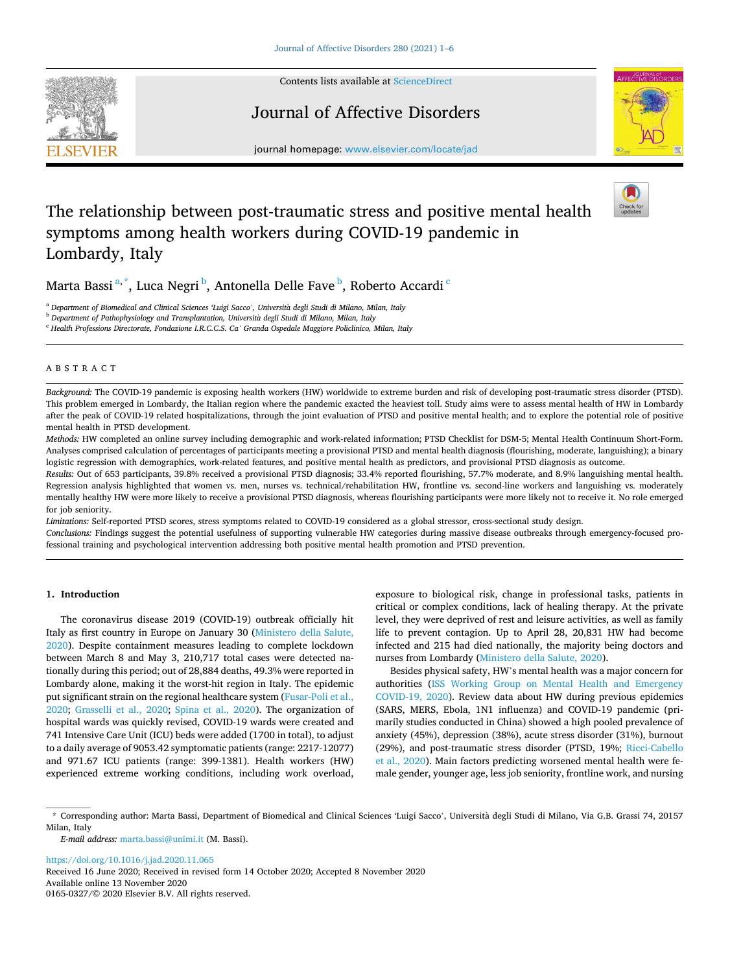

Contents lists available at [ScienceDirect](www.sciencedirect.com/science/journal/01650327)

## Journal of Affective Disorders



journal homepage: [www.elsevier.com/locate/jad](https://www.elsevier.com/locate/jad)

# The relationship between post-traumatic stress and positive mental health symptoms among health workers during COVID-19 pandemic in Lombardy, Italy

## Marta Bassi $^{\mathrm{a},\mathrm{*}}$ , Luca Negri $^{\mathrm{b}}$ , Antonella Delle Fave $^{\mathrm{b}}$ , Roberto Accardi $^{\mathrm{c}}$

<sup>a</sup> *Department of Biomedical and Clinical Sciences 'Luigi Sacco', Universita* ` *degli Studi di Milano, Milan, Italy* 

<sup>b</sup> *Department of Pathophysiology and Transplantation, Universita* ` *degli Studi di Milano, Milan, Italy* 

<sup>c</sup> *Health Professions Directorate, Fondazione I.R.C.C.S. Ca' Granda Ospedale Maggiore Policlinico, Milan, Italy* 

#### ABSTRACT

*Background:* The COVID-19 pandemic is exposing health workers (HW) worldwide to extreme burden and risk of developing post-traumatic stress disorder (PTSD). This problem emerged in Lombardy, the Italian region where the pandemic exacted the heaviest toll. Study aims were to assess mental health of HW in Lombardy after the peak of COVID-19 related hospitalizations, through the joint evaluation of PTSD and positive mental health; and to explore the potential role of positive mental health in PTSD development.

*Methods:* HW completed an online survey including demographic and work-related information; PTSD Checklist for DSM-5; Mental Health Continuum Short-Form. Analyses comprised calculation of percentages of participants meeting a provisional PTSD and mental health diagnosis (flourishing, moderate, languishing); a binary logistic regression with demographics, work-related features, and positive mental health as predictors, and provisional PTSD diagnosis as outcome.

*Results:* Out of 653 participants, 39.8% received a provisional PTSD diagnosis; 33.4% reported flourishing, 57.7% moderate, and 8.9% languishing mental health. Regression analysis highlighted that women vs. men, nurses vs. technical/rehabilitation HW, frontline vs. second-line workers and languishing vs. moderately mentally healthy HW were more likely to receive a provisional PTSD diagnosis, whereas flourishing participants were more likely not to receive it. No role emerged for job seniority.

*Limitations:* Self-reported PTSD scores, stress symptoms related to COVID-19 considered as a global stressor, cross-sectional study design. *Conclusions:* Findings suggest the potential usefulness of supporting vulnerable HW categories during massive disease outbreaks through emergency-focused professional training and psychological intervention addressing both positive mental health promotion and PTSD prevention.

## **1. Introduction**

The coronavirus disease 2019 (COVID-19) outbreak officially hit Italy as first country in Europe on January 30 [\(Ministero della Salute,](#page-4-0)  [2020\)](#page-4-0). Despite containment measures leading to complete lockdown between March 8 and May 3, 210,717 total cases were detected nationally during this period; out of 28,884 deaths, 49.3% were reported in Lombardy alone, making it the worst-hit region in Italy. The epidemic put significant strain on the regional healthcare system [\(Fusar-Poli et al.,](#page-4-0)  [2020;](#page-4-0) [Grasselli et al., 2020](#page-4-0); [Spina et al., 2020](#page-5-0)). The organization of hospital wards was quickly revised, COVID-19 wards were created and 741 Intensive Care Unit (ICU) beds were added (1700 in total), to adjust to a daily average of 9053.42 symptomatic patients (range: 2217-12077) and 971.67 ICU patients (range: 399-1381). Health workers (HW) experienced extreme working conditions, including work overload,

exposure to biological risk, change in professional tasks, patients in critical or complex conditions, lack of healing therapy. At the private level, they were deprived of rest and leisure activities, as well as family life to prevent contagion. Up to April 28, 20,831 HW had become infected and 215 had died nationally, the majority being doctors and nurses from Lombardy ([Ministero della Salute, 2020\)](#page-4-0).

Besides physical safety, HW's mental health was a major concern for authorities [\(ISS Working Group on Mental Health and Emergency](#page-4-0)  [COVID-19, 2020\)](#page-4-0). Review data about HW during previous epidemics (SARS, MERS, Ebola, 1N1 influenza) and COVID-19 pandemic (primarily studies conducted in China) showed a high pooled prevalence of anxiety (45%), depression (38%), acute stress disorder (31%), burnout (29%), and post-traumatic stress disorder (PTSD, 19%; [Ricci-Cabello](#page-5-0)  [et al., 2020](#page-5-0)). Main factors predicting worsened mental health were female gender, younger age, less job seniority, frontline work, and nursing

*E-mail address:* [marta.bassi@unimi.it](mailto:marta.bassi@unimi.it) (M. Bassi).

<https://doi.org/10.1016/j.jad.2020.11.065> Received 16 June 2020; Received in revised form 14 October 2020; Accepted 8 November 2020

Available online 13 November 2020 0165-0327/© 2020 Elsevier B.V. All rights reserved.

<sup>\*</sup> Corresponding author: Marta Bassi, Department of Biomedical and Clinical Sciences 'Luigi Sacco', Università degli Studi di Milano, Via G.B. Grassi 74, 20157 Milan, Italy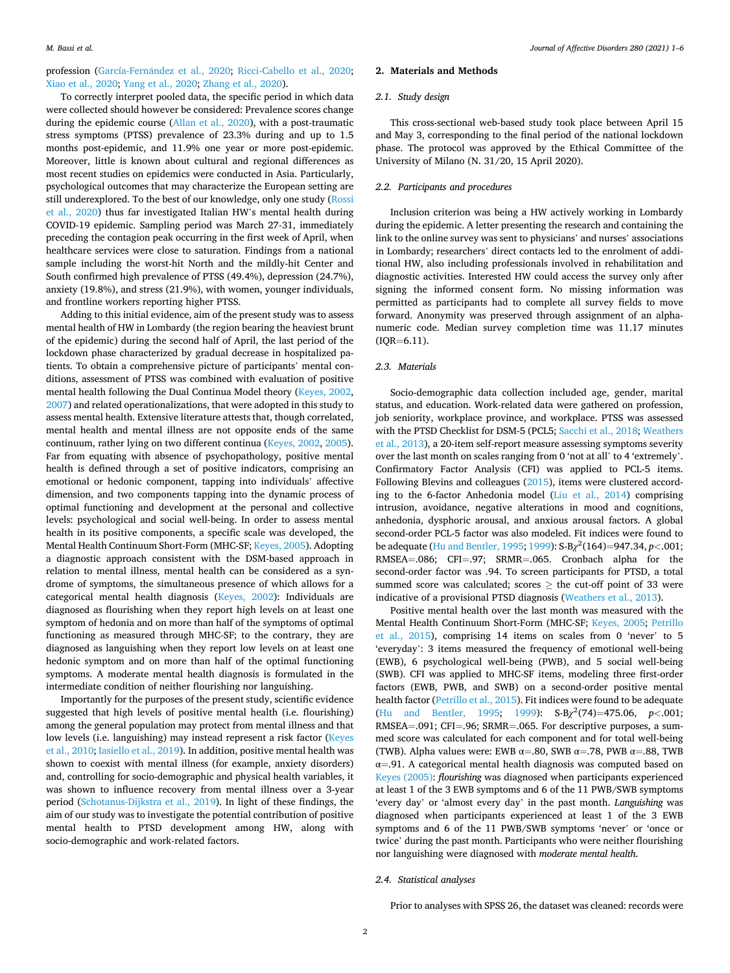profession (García-Fernández et al., 2020; [Ricci-Cabello et al., 2020](#page-5-0); [Xiao et al., 2020](#page-5-0); [Yang et al., 2020](#page-5-0); [Zhang et al., 2020](#page-5-0)).

## To correctly interpret pooled data, the specific period in which data were collected should however be considered: Prevalence scores change during the epidemic course [\(Allan et al., 2020\)](#page-4-0), with a post-traumatic stress symptoms (PTSS) prevalence of 23.3% during and up to 1.5 months post-epidemic, and 11.9% one year or more post-epidemic. Moreover, little is known about cultural and regional differences as most recent studies on epidemics were conducted in Asia. Particularly, psychological outcomes that may characterize the European setting are still underexplored. To the best of our knowledge, only one study [\(Rossi](#page-5-0)  [et al., 2020\)](#page-5-0) thus far investigated Italian HW's mental health during COVID-19 epidemic. Sampling period was March 27-31, immediately preceding the contagion peak occurring in the first week of April, when healthcare services were close to saturation. Findings from a national sample including the worst-hit North and the mildly-hit Center and South confirmed high prevalence of PTSS (49.4%), depression (24.7%), anxiety (19.8%), and stress (21.9%), with women, younger individuals, and frontline workers reporting higher PTSS.

Adding to this initial evidence, aim of the present study was to assess mental health of HW in Lombardy (the region bearing the heaviest brunt of the epidemic) during the second half of April, the last period of the lockdown phase characterized by gradual decrease in hospitalized patients. To obtain a comprehensive picture of participants' mental conditions, assessment of PTSS was combined with evaluation of positive mental health following the Dual Continua Model theory ([Keyes, 2002](#page-4-0), [2007\)](#page-4-0) and related operationalizations, that were adopted in this study to assess mental health. Extensive literature attests that, though correlated, mental health and mental illness are not opposite ends of the same continuum, rather lying on two different continua [\(Keyes, 2002](#page-4-0), [2005](#page-4-0)). Far from equating with absence of psychopathology, positive mental health is defined through a set of positive indicators, comprising an emotional or hedonic component, tapping into individuals' affective dimension, and two components tapping into the dynamic process of optimal functioning and development at the personal and collective levels: psychological and social well-being. In order to assess mental health in its positive components, a specific scale was developed, the Mental Health Continuum Short-Form (MHC-SF; [Keyes, 2005](#page-4-0)). Adopting a diagnostic approach consistent with the DSM-based approach in relation to mental illness, mental health can be considered as a syndrome of symptoms, the simultaneous presence of which allows for a categorical mental health diagnosis ([Keyes, 2002](#page-4-0)): Individuals are diagnosed as flourishing when they report high levels on at least one symptom of hedonia and on more than half of the symptoms of optimal functioning as measured through MHC-SF; to the contrary, they are diagnosed as languishing when they report low levels on at least one hedonic symptom and on more than half of the optimal functioning symptoms. A moderate mental health diagnosis is formulated in the intermediate condition of neither flourishing nor languishing.

Importantly for the purposes of the present study, scientific evidence suggested that high levels of positive mental health (i.e. flourishing) among the general population may protect from mental illness and that low levels (i.e. languishing) may instead represent a risk factor [\(Keyes](#page-4-0)  [et al., 2010; Iasiello et al., 2019](#page-4-0)). In addition, positive mental health was shown to coexist with mental illness (for example, anxiety disorders) and, controlling for socio-demographic and physical health variables, it was shown to influence recovery from mental illness over a 3-year period [\(Schotanus-Dijkstra et al., 2019](#page-5-0)). In light of these findings, the aim of our study was to investigate the potential contribution of positive mental health to PTSD development among HW, along with socio-demographic and work-related factors.

## **2. Materials and Methods**

#### *2.1. Study design*

This cross-sectional web-based study took place between April 15 and May 3, corresponding to the final period of the national lockdown phase. The protocol was approved by the Ethical Committee of the University of Milano (N. 31/20, 15 April 2020).

#### *2.2. Participants and procedures*

Inclusion criterion was being a HW actively working in Lombardy during the epidemic. A letter presenting the research and containing the link to the online survey was sent to physicians' and nurses' associations in Lombardy; researchers' direct contacts led to the enrolment of additional HW, also including professionals involved in rehabilitation and diagnostic activities. Interested HW could access the survey only after signing the informed consent form. No missing information was permitted as participants had to complete all survey fields to move forward. Anonymity was preserved through assignment of an alphanumeric code. Median survey completion time was 11.17 minutes  $( IQR=6.11).$ 

## *2.3. Materials*

Socio-demographic data collection included age, gender, marital status, and education. Work-related data were gathered on profession, job seniority, workplace province, and workplace. PTSS was assessed with the PTSD Checklist for DSM-5 (PCL5; [Sacchi et al., 2018; Weathers](#page-5-0)  [et al., 2013](#page-5-0)), a 20-item self-report measure assessing symptoms severity over the last month on scales ranging from 0 'not at all' to 4 'extremely'. Confirmatory Factor Analysis (CFI) was applied to PCL-5 items. Following Blevins and colleagues [\(2015](#page-4-0)), items were clustered according to the 6-factor Anhedonia model [\(Liu et al., 2014](#page-4-0)) comprising intrusion, avoidance, negative alterations in mood and cognitions, anhedonia, dysphoric arousal, and anxious arousal factors. A global second-order PCL-5 factor was also modeled. Fit indices were found to be adequate [\(Hu and Bentler, 1995; 1999](#page-4-0)): S-B*χ*2(164)=947.34, *p<*.001; RMSEA=.086; CFI=.97; SRMR=.065. Cronbach alpha for the second-order factor was .94. To screen participants for PTSD, a total summed score was calculated; scores  $\geq$  the cut-off point of 33 were indicative of a provisional PTSD diagnosis [\(Weathers et al., 2013\)](#page-5-0).

Positive mental health over the last month was measured with the Mental Health Continuum Short-Form (MHC-SF; [Keyes, 2005;](#page-4-0) [Petrillo](#page-4-0)  [et al., 2015\)](#page-4-0), comprising 14 items on scales from 0 'never' to 5 'everyday': 3 items measured the frequency of emotional well-being (EWB), 6 psychological well-being (PWB), and 5 social well-being (SWB). CFI was applied to MHC-SF items, modeling three first-order factors (EWB, PWB, and SWB) on a second-order positive mental health factor ([Petrillo et al., 2015\)](#page-4-0). Fit indices were found to be adequate ([Hu and Bentler, 1995;](#page-4-0) [1999\)](#page-4-0): S-B*χ*2(74)=475.06, *p<*.001; RMSEA=.091; CFI=.96; SRMR=.065. For descriptive purposes, a summed score was calculated for each component and for total well-being (TWB). Alpha values were: EWB  $\alpha = .80$ , SWB  $\alpha = .78$ , PWB  $\alpha = .88$ , TWB  $\alpha = 91$ . A categorical mental health diagnosis was computed based on [Keyes \(2005\)](#page-4-0): *flourishing* was diagnosed when participants experienced at least 1 of the 3 EWB symptoms and 6 of the 11 PWB/SWB symptoms 'every day' or 'almost every day' in the past month. *Languishing* was diagnosed when participants experienced at least 1 of the 3 EWB symptoms and 6 of the 11 PWB/SWB symptoms 'never' or 'once or twice' during the past month. Participants who were neither flourishing nor languishing were diagnosed with *moderate mental health*.

### *2.4. Statistical analyses*

Prior to analyses with SPSS 26, the dataset was cleaned: records were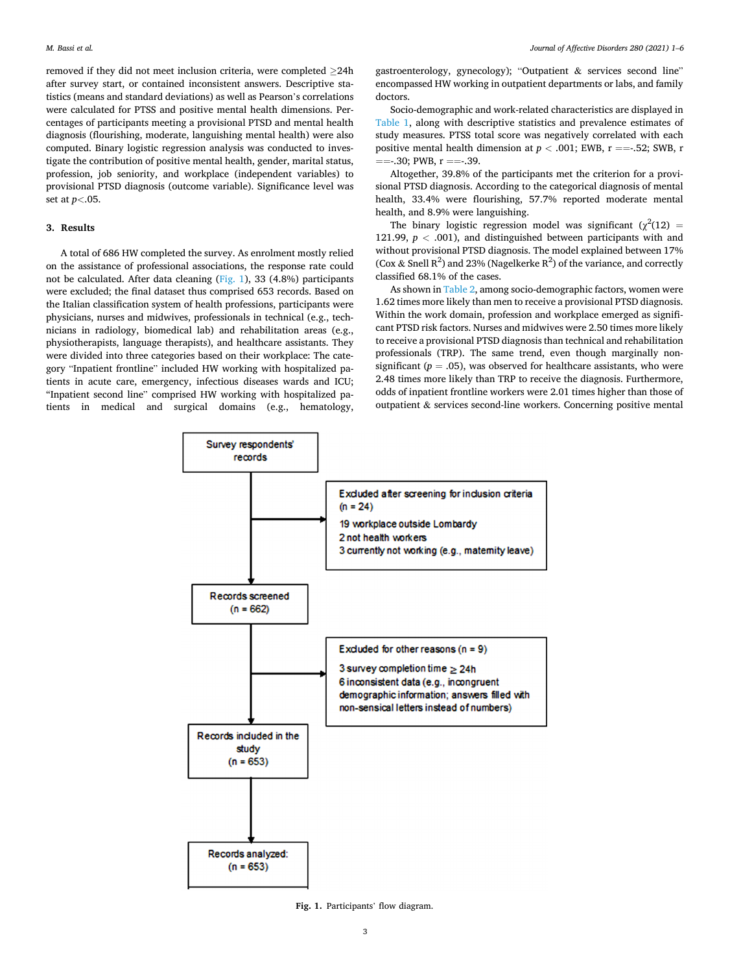removed if they did not meet inclusion criteria, were completed ≥24h after survey start, or contained inconsistent answers. Descriptive statistics (means and standard deviations) as well as Pearson's correlations were calculated for PTSS and positive mental health dimensions. Percentages of participants meeting a provisional PTSD and mental health diagnosis (flourishing, moderate, languishing mental health) were also computed. Binary logistic regression analysis was conducted to investigate the contribution of positive mental health, gender, marital status, profession, job seniority, and workplace (independent variables) to provisional PTSD diagnosis (outcome variable). Significance level was set at *p<*.05.

#### **3. Results**

A total of 686 HW completed the survey. As enrolment mostly relied on the assistance of professional associations, the response rate could not be calculated. After data cleaning (Fig. 1), 33 (4.8%) participants were excluded; the final dataset thus comprised 653 records. Based on the Italian classification system of health professions, participants were physicians, nurses and midwives, professionals in technical (e.g., technicians in radiology, biomedical lab) and rehabilitation areas (e.g., physiotherapists, language therapists), and healthcare assistants. They were divided into three categories based on their workplace: The category "Inpatient frontline" included HW working with hospitalized patients in acute care, emergency, infectious diseases wards and ICU; "Inpatient second line" comprised HW working with hospitalized patients in medical and surgical domains (e.g., hematology,

gastroenterology, gynecology); "Outpatient & services second line" encompassed HW working in outpatient departments or labs, and family doctors.

Socio-demographic and work-related characteristics are displayed in [Table 1,](#page-3-0) along with descriptive statistics and prevalence estimates of study measures. PTSS total score was negatively correlated with each positive mental health dimension at  $p < .001$ ; EWB,  $r = -.52$ ; SWB, r  $=$  =  $-0.30$ ; PWB, r =  $=$   $-0.39$ .

Altogether, 39.8% of the participants met the criterion for a provisional PTSD diagnosis. According to the categorical diagnosis of mental health, 33.4% were flourishing, 57.7% reported moderate mental health, and 8.9% were languishing.

The binary logistic regression model was significant ( $\chi^2(12)$  = 121.99, *p <* .001), and distinguished between participants with and without provisional PTSD diagnosis. The model explained between 17% (Cox & Snell  $R^2$ ) and 23% (Nagelkerke  $R^2$ ) of the variance, and correctly classified 68.1% of the cases.

As shown in [Table 2,](#page-3-0) among socio-demographic factors, women were 1.62 times more likely than men to receive a provisional PTSD diagnosis. Within the work domain, profession and workplace emerged as significant PTSD risk factors. Nurses and midwives were 2.50 times more likely to receive a provisional PTSD diagnosis than technical and rehabilitation professionals (TRP). The same trend, even though marginally nonsignificant ( $p = .05$ ), was observed for healthcare assistants, who were 2.48 times more likely than TRP to receive the diagnosis. Furthermore, odds of inpatient frontline workers were 2.01 times higher than those of outpatient & services second-line workers. Concerning positive mental



**Fig. 1.** Participants' flow diagram.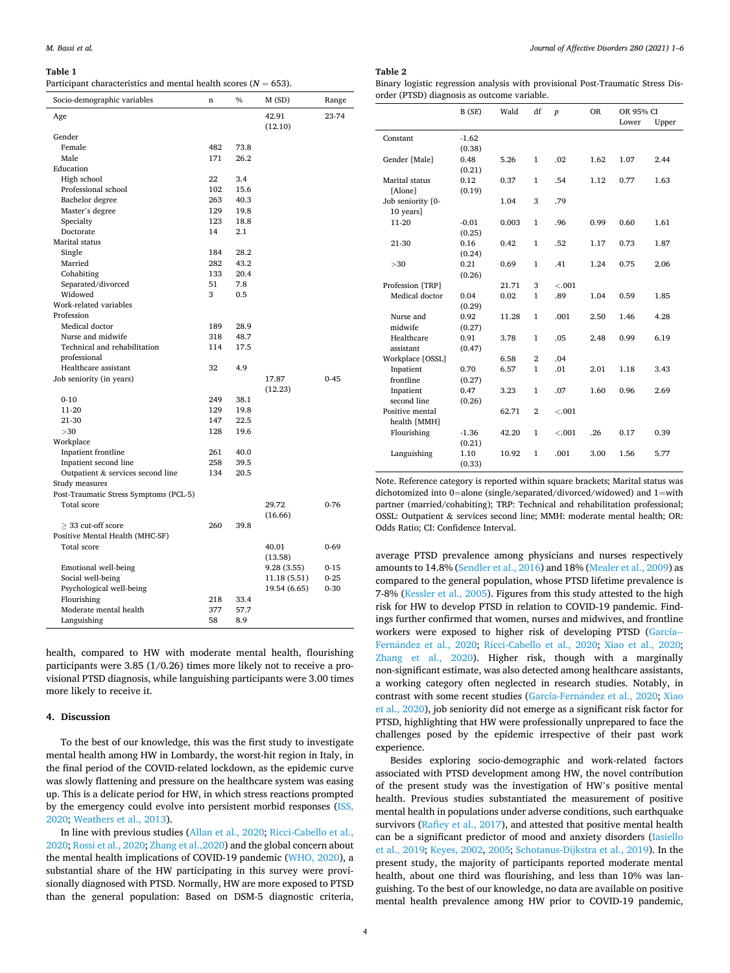#### <span id="page-3-0"></span>**Table 1**

Gender

Study measures

Flourishing

Languishing

Post-Traumatic Stress Symptoms (PCL-5)

Positive Mental Health (MHC-SF)

Total score 29.72

Total score 40.01

 $>$  33 cut-off score 260 39.8

Moderate mental health 377 57.7<br>Languishing 58 8.9

Participa

| Socio-demographic variables       | n   | $\%$ | M(SD)            | Range    |
|-----------------------------------|-----|------|------------------|----------|
| Age                               |     |      | 42.91<br>(12.10) | 23-74    |
| Gender                            |     |      |                  |          |
| Female                            | 482 | 73.8 |                  |          |
| Male                              | 171 | 26.2 |                  |          |
| Education                         |     |      |                  |          |
| High school                       | 22  | 3.4  |                  |          |
| Professional school               | 102 | 15.6 |                  |          |
| Bachelor degree                   | 263 | 40.3 |                  |          |
| Master's degree                   | 129 | 19.8 |                  |          |
| Specialty                         | 123 | 18.8 |                  |          |
| Doctorate                         | 14  | 2.1  |                  |          |
| Marital status                    |     |      |                  |          |
| Single                            | 184 | 28.2 |                  |          |
| Married                           | 282 | 43.2 |                  |          |
| Cohabiting                        | 133 | 20.4 |                  |          |
| Separated/divorced                | 51  | 7.8  |                  |          |
| Widowed                           | 3   | 0.5  |                  |          |
| Work-related variables            |     |      |                  |          |
| Profession                        |     |      |                  |          |
| Medical doctor                    | 189 | 28.9 |                  |          |
| Nurse and midwife                 | 318 | 48.7 |                  |          |
| Technical and rehabilitation      | 114 | 17.5 |                  |          |
| professional                      |     |      |                  |          |
| Healthcare assistant              | 32  | 4.9  |                  |          |
| Job seniority (in years)          |     |      | 17.87            | $0 - 45$ |
|                                   |     |      | (12.23)          |          |
| $0 - 10$                          | 249 | 38.1 |                  |          |
| 11-20                             | 129 | 19.8 |                  |          |
| 21-30                             | 147 | 22.5 |                  |          |
| >30                               | 128 | 19.6 |                  |          |
| Workplace                         |     |      |                  |          |
| Inpatient frontline               | 261 | 40.0 |                  |          |
| Inpatient second line             | 258 | 39.5 |                  |          |
| Outpatient & services second line | 134 | 20.5 |                  |          |

(16.66)

(13.58)

0-76

0-69

health, compared to HW with moderate mental health, flourishing participants were 3.85 (1/0.26) times more likely not to receive a provisional PTSD diagnosis, while languishing participants were 3.00 times more likely to receive it.

Emotional well-being 9.28 (3.55) 0-15 Social well-being 11.18 (5.51) 0-25 Psychological well-being 19.54 (6.65) 0-30<br>Flourishine 218 33.4

## **4. Discussion**

To the best of our knowledge, this was the first study to investigate mental health among HW in Lombardy, the worst-hit region in Italy, in the final period of the COVID-related lockdown, as the epidemic curve was slowly flattening and pressure on the healthcare system was easing up. This is a delicate period for HW, in which stress reactions prompted by the emergency could evolve into persistent morbid responses ([ISS,](#page-4-0)  [2020;](#page-4-0) [Weathers et al., 2013\)](#page-5-0).

In line with previous studies ([Allan et al., 2020;](#page-4-0) [Ricci-Cabello et al.,](#page-5-0)  [2020; Rossi et al., 2020](#page-5-0); [Zhang et al.,2020](#page-5-0)) and the global concern about the mental health implications of COVID-19 pandemic [\(WHO, 2020](#page-5-0)), a substantial share of the HW participating in this survey were provisionally diagnosed with PTSD. Normally, HW are more exposed to PTSD than the general population: Based on DSM-5 diagnostic criteria,

## **Table 2**

ary logistic regression analysis with provisional Post-Traumatic Stress Diser (PTSD) diagnosis as outcome variable.

|                   | B(SE)   | Wald  | df             | $\boldsymbol{p}$ | <b>OR</b> | OR 95% CI |       |
|-------------------|---------|-------|----------------|------------------|-----------|-----------|-------|
|                   |         |       |                |                  |           | Lower     | Upper |
| Constant          | $-1.62$ |       |                |                  |           |           |       |
|                   | (0.38)  |       |                |                  |           |           |       |
| Gender [Male]     | 0.48    | 5.26  | 1              | .02              | 1.62      | 1.07      | 2.44  |
|                   | (0.21)  |       |                |                  |           |           |       |
| Marital status    | 0.12    | 0.37  | 1              | .54              | 1.12      | 0.77      | 1.63  |
| [Alone]           | (0.19)  |       |                |                  |           |           |       |
| Job seniority [0- |         | 1.04  | 3              | .79              |           |           |       |
| 10 years]         |         |       |                |                  |           |           |       |
| $11-20$           | $-0.01$ | 0.003 | $\mathbf{1}$   | .96              | 0.99      | 0.60      | 1.61  |
|                   | (0.25)  |       |                |                  |           |           |       |
| 21-30             | 0.16    | 0.42  | 1              | .52              | 1.17      | 0.73      | 1.87  |
|                   | (0.24)  |       |                |                  |           |           |       |
| >30               | 0.21    | 0.69  | $\mathbf{1}$   | .41              | 1.24      | 0.75      | 2.06  |
|                   | (0.26)  |       |                |                  |           |           |       |
| Profession [TRP]  |         | 21.71 | 3              | $-.001$          |           |           |       |
| Medical doctor    | 0.04    | 0.02  | $\mathbf{1}$   | .89              | 1.04      | 0.59      | 1.85  |
|                   | (0.29)  |       |                |                  |           |           |       |
| Nurse and         | 0.92    | 11.28 | 1              | .001             | 2.50      | 1.46      | 4.28  |
| midwife           | (0.27)  |       |                |                  |           |           |       |
| Healthcare        | 0.91    | 3.78  | $\mathbf{1}$   | .05              | 2.48      | 0.99      | 6.19  |
| assistant         | (0.47)  |       |                |                  |           |           |       |
| Workplace [OSSL]  |         | 6.58  | $\overline{2}$ | .04              |           |           |       |
| Inpatient         | 0.70    | 6.57  | $\mathbf{1}$   | .01              | 2.01      | 1.18      | 3.43  |
| frontline         | (0.27)  |       |                |                  |           |           |       |
| Inpatient         | 0.47    | 3.23  | 1              | .07              | 1.60      | 0.96      | 2.69  |
| second line       | (0.26)  |       |                |                  |           |           |       |
| Positive mental   |         | 62.71 | $\overline{2}$ | $-.001$          |           |           |       |
| health [MMH]      |         |       |                |                  |           |           |       |
| Flourishing       | $-1.36$ | 42.20 | $\mathbf{1}$   | $-.001$          | .26       | 0.17      | 0.39  |
|                   | (0.21)  |       |                |                  |           |           |       |
| Languishing       | 1.10    | 10.92 | 1              | .001             | 3.00      | 1.56      | 5.77  |
|                   | (0.33)  |       |                |                  |           |           |       |

Note. Reference category is reported within square brackets; Marital status was dichotomized into 0=alone (single/separated/divorced/widowed) and 1=with partner (married/cohabiting); TRP: Technical and rehabilitation professional; OSSL: Outpatient & services second line; MMH: moderate mental health; OR: Odds Ratio; CI: Confidence Interval.

average PTSD prevalence among physicians and nurses respectively amounts to 14.8% [\(Sendler et al., 2016](#page-5-0)) and 18% [\(Mealer et al., 2009\)](#page-4-0) as compared to the general population, whose PTSD lifetime prevalence is 7-8% [\(Kessler et al., 2005\)](#page-4-0). Figures from this study attested to the high risk for HW to develop PTSD in relation to COVID-19 pandemic. Findings further confirmed that women, nurses and midwives, and frontline workers were exposed to higher risk of developing PTSD ([García-](#page-4-0)Fernández [et al., 2020](#page-4-0); [Ricci-Cabello et al., 2020;](#page-5-0) [Xiao et al., 2020](#page-5-0); [Zhang et al., 2020\)](#page-5-0). Higher risk, though with a marginally non-significant estimate, was also detected among healthcare assistants, a working category often neglected in research studies. Notably, in contrast with some recent studies (García-Fernández et al., 2020; Xiao [et al., 2020](#page-5-0)), job seniority did not emerge as a significant risk factor for PTSD, highlighting that HW were professionally unprepared to face the challenges posed by the epidemic irrespective of their past work experience.

Besides exploring socio-demographic and work-related factors associated with PTSD development among HW, the novel contribution of the present study was the investigation of HW's positive mental health. Previous studies substantiated the measurement of positive mental health in populations under adverse conditions, such earthquake survivors [\(Rafiey et al., 2017](#page-5-0)), and attested that positive mental health can be a significant predictor of mood and anxiety disorders [\(Iasiello](#page-4-0)  [et al., 2019; Keyes, 2002](#page-4-0), [2005;](#page-4-0) [Schotanus-Dijkstra et al., 2019](#page-5-0)). In the present study, the majority of participants reported moderate mental health, about one third was flourishing, and less than 10% was languishing. To the best of our knowledge, no data are available on positive mental health prevalence among HW prior to COVID-19 pandemic,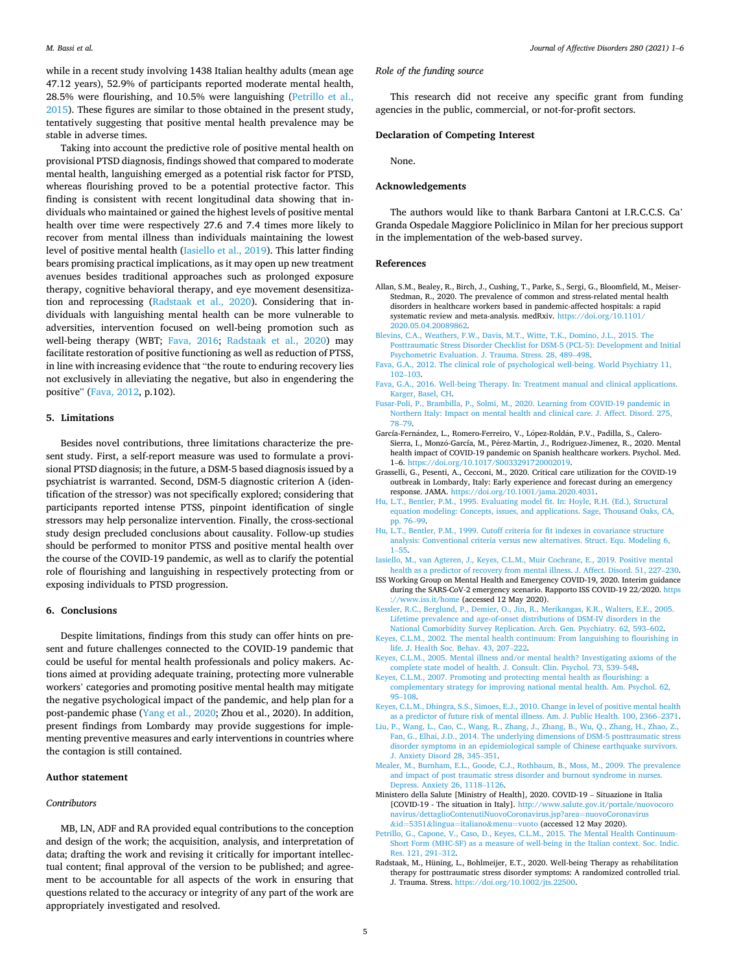<span id="page-4-0"></span>while in a recent study involving 1438 Italian healthy adults (mean age 47.12 years), 52.9% of participants reported moderate mental health, 28.5% were flourishing, and 10.5% were languishing (Petrillo et al., 2015). These figures are similar to those obtained in the present study, tentatively suggesting that positive mental health prevalence may be stable in adverse times.

Taking into account the predictive role of positive mental health on provisional PTSD diagnosis, findings showed that compared to moderate mental health, languishing emerged as a potential risk factor for PTSD, whereas flourishing proved to be a potential protective factor. This finding is consistent with recent longitudinal data showing that individuals who maintained or gained the highest levels of positive mental health over time were respectively 27.6 and 7.4 times more likely to recover from mental illness than individuals maintaining the lowest level of positive mental health (Iasiello et al., 2019). This latter finding bears promising practical implications, as it may open up new treatment avenues besides traditional approaches such as prolonged exposure therapy, cognitive behavioral therapy, and eye movement desensitization and reprocessing (Radstaak et al., 2020). Considering that individuals with languishing mental health can be more vulnerable to adversities, intervention focused on well-being promotion such as well-being therapy (WBT; Fava, 2016; Radstaak et al., 2020) may facilitate restoration of positive functioning as well as reduction of PTSS, in line with increasing evidence that "the route to enduring recovery lies not exclusively in alleviating the negative, but also in engendering the positive" (Fava, 2012, p.102).

#### **5. Limitations**

Besides novel contributions, three limitations characterize the present study. First, a self-report measure was used to formulate a provisional PTSD diagnosis; in the future, a DSM-5 based diagnosis issued by a psychiatrist is warranted. Second, DSM-5 diagnostic criterion A (identification of the stressor) was not specifically explored; considering that participants reported intense PTSS, pinpoint identification of single stressors may help personalize intervention. Finally, the cross-sectional study design precluded conclusions about causality. Follow-up studies should be performed to monitor PTSS and positive mental health over the course of the COVID-19 pandemic, as well as to clarify the potential role of flourishing and languishing in respectively protecting from or exposing individuals to PTSD progression.

#### **6. Conclusions**

Despite limitations, findings from this study can offer hints on present and future challenges connected to the COVID-19 pandemic that could be useful for mental health professionals and policy makers. Actions aimed at providing adequate training, protecting more vulnerable workers' categories and promoting positive mental health may mitigate the negative psychological impact of the pandemic, and help plan for a post-pandemic phase ([Yang et al., 2020](#page-5-0); Zhou et al., 2020). In addition, present findings from Lombardy may provide suggestions for implementing preventive measures and early interventions in countries where the contagion is still contained.

#### **Author statement**

#### *Contributors*

MB, LN, ADF and RA provided equal contributions to the conception and design of the work; the acquisition, analysis, and interpretation of data; drafting the work and revising it critically for important intellectual content; final approval of the version to be published; and agreement to be accountable for all aspects of the work in ensuring that questions related to the accuracy or integrity of any part of the work are appropriately investigated and resolved.

#### *Role of the funding source*

This research did not receive any specific grant from funding agencies in the public, commercial, or not-for-profit sectors.

#### **Declaration of Competing Interest**

None.

#### **Acknowledgements**

The authors would like to thank Barbara Cantoni at I.R.C.C.S. Ca' Granda Ospedale Maggiore Policlinico in Milan for her precious support in the implementation of the web-based survey.

#### **References**

- Allan, S.M., Bealey, R., Birch, J., Cushing, T., Parke, S., Sergi, G., Bloomfield, M., Meiser-Stedman, R., 2020. The prevalence of common and stress-related mental health disorders in healthcare workers based in pandemic-affected hospitals: a rapid systematic review and meta-analysis. medRxiv. [https://doi.org/10.1101/](https://doi.org/10.1101/2020.05.04.20089862)  [2020.05.04.20089862](https://doi.org/10.1101/2020.05.04.20089862).
- [Blevins, C.A., Weathers, F.W., Davis, M.T., Witte, T.K., Domino, J.L., 2015. The](http://refhub.elsevier.com/S0165-0327(20)32995-5/sbref0002)  [Posttraumatic Stress Disorder Checklist for DSM-5 \(PCL-5\): Development and Initial](http://refhub.elsevier.com/S0165-0327(20)32995-5/sbref0002)  [Psychometric Evaluation. J. Trauma. Stress. 28, 489](http://refhub.elsevier.com/S0165-0327(20)32995-5/sbref0002)–498.
- [Fava, G.A., 2012. The clinical role of psychological well-being. World Psychiatry 11,](http://refhub.elsevier.com/S0165-0327(20)32995-5/sbref0003) 102–[103](http://refhub.elsevier.com/S0165-0327(20)32995-5/sbref0003).
- [Fava, G.A., 2016. Well-being Therapy. In: Treatment manual and clinical applications.](http://refhub.elsevier.com/S0165-0327(20)32995-5/sbref0004) [Karger, Basel, CH.](http://refhub.elsevier.com/S0165-0327(20)32995-5/sbref0004)
- [Fusar-Poli, P., Brambilla, P., Solmi, M., 2020. Learning from COVID-19 pandemic in](http://refhub.elsevier.com/S0165-0327(20)32995-5/sbref0005)  [Northern Italy: Impact on mental health and clinical care. J. Affect. Disord. 275,](http://refhub.elsevier.com/S0165-0327(20)32995-5/sbref0005)  78–[79](http://refhub.elsevier.com/S0165-0327(20)32995-5/sbref0005).
- García-Fernández, L., Romero-Ferreiro, V., López-Roldán, P.V., Padilla, S., Calero-Sierra, I., Monzó-García, M., Pérez-Martin, J., Rodriguez-Jimenez, R., 2020. Mental health impact of COVID-19 pandemic on Spanish healthcare workers. Psychol. Med. 1–6. <https://doi.org/10.1017/S0033291720002019>.
- Grasselli, G., Pesenti, A., Cecconi, M., 2020. Critical care utilization for the COVID-19 outbreak in Lombardy, Italy: Early experience and forecast during an emergency response. JAMA. [https://doi.org/10.1001/jama.2020.4031.](https://doi.org/10.1001/jama.2020.4031)
- [Hu, L.T., Bentler, P.M., 1995. Evaluating model fit. In: Hoyle, R.H. \(Ed.\), Structural](http://refhub.elsevier.com/S0165-0327(20)32995-5/sbref0008) [equation modeling: Concepts, issues, and applications. Sage, Thousand Oaks, CA,](http://refhub.elsevier.com/S0165-0327(20)32995-5/sbref0008) [pp. 76](http://refhub.elsevier.com/S0165-0327(20)32995-5/sbref0008)–99.
- [Hu, L.T., Bentler, P.M., 1999. Cutoff criteria for fit indexes in covariance structure](http://refhub.elsevier.com/S0165-0327(20)32995-5/sbref0009) [analysis: Conventional criteria versus new alternatives. Struct. Equ. Modeling 6,](http://refhub.elsevier.com/S0165-0327(20)32995-5/sbref0009)  1–[55.](http://refhub.elsevier.com/S0165-0327(20)32995-5/sbref0009)
- [Iasiello, M., van Agteren, J., Keyes, C.L.M., Muir Cochrane, E., 2019. Positive mental](http://refhub.elsevier.com/S0165-0327(20)32995-5/sbref0010) [health as a predictor of recovery from mental illness. J. Affect. Disord. 51, 227](http://refhub.elsevier.com/S0165-0327(20)32995-5/sbref0010)–230.
- ISS Working Group on Mental Health and Emergency COVID-19, 2020. Interim guidance during the SARS-CoV-2 emergency scenario. Rapporto ISS COVID-19 22/2020. [https](https://www.iss.it/home)  [://www.iss.it/home](https://www.iss.it/home) (accessed 12 May 2020).
- [Kessler, R.C., Berglund, P., Demier, O., Jin, R., Merikangas, K.R., Walters, E.E., 2005.](http://refhub.elsevier.com/S0165-0327(20)32995-5/sbref0012) [Lifetime prevalence and age-of-onset distributions of DSM-IV disorders in the](http://refhub.elsevier.com/S0165-0327(20)32995-5/sbref0012) [National Comorbidity Survey Replication. Arch. Gen. Psychiatry. 62, 593](http://refhub.elsevier.com/S0165-0327(20)32995-5/sbref0012)–602.
- [Keyes, C.L.M., 2002. The mental health continuum: From languishing to flourishing in](http://refhub.elsevier.com/S0165-0327(20)32995-5/sbref0013)  [life. J. Health Soc. Behav. 43, 207](http://refhub.elsevier.com/S0165-0327(20)32995-5/sbref0013)–222.
- [Keyes, C.L.M., 2005. Mental illness and/or mental health? Investigating axioms of the](http://refhub.elsevier.com/S0165-0327(20)32995-5/sbref0014) [complete state model of health. J. Consult. Clin. Psychol. 73, 539](http://refhub.elsevier.com/S0165-0327(20)32995-5/sbref0014)–548.
- Keyes, C.L.M., 2007. Promoting and protecting mental health as flourishing: a [complementary strategy for improving national mental health. Am. Psychol. 62,](http://refhub.elsevier.com/S0165-0327(20)32995-5/sbref0015) 95–[108.](http://refhub.elsevier.com/S0165-0327(20)32995-5/sbref0015)
- [Keyes, C.L.M., Dhingra, S.S., Simoes, E.J., 2010. Change in level of positive mental health](http://refhub.elsevier.com/S0165-0327(20)32995-5/sbref0016)  [as a predictor of future risk of mental illness. Am. J. Public Health. 100, 2366](http://refhub.elsevier.com/S0165-0327(20)32995-5/sbref0016)–2371.
- [Liu, P., Wang, L., Cao, C., Wang, R., Zhang, J., Zhang, B., Wu, Q., Zhang, H., Zhao, Z.,](http://refhub.elsevier.com/S0165-0327(20)32995-5/sbref0017) [Fan, G., Elhai, J.D., 2014. The underlying dimensions of DSM-5 posttraumatic stress](http://refhub.elsevier.com/S0165-0327(20)32995-5/sbref0017)  [disorder symptoms in an epidemiological sample of Chinese earthquake survivors.](http://refhub.elsevier.com/S0165-0327(20)32995-5/sbref0017) [J. Anxiety Disord 28, 345](http://refhub.elsevier.com/S0165-0327(20)32995-5/sbref0017)–351.
- [Mealer, M., Burnham, E.L., Goode, C.J., Rothbaum, B., Moss, M., 2009. The prevalence](http://refhub.elsevier.com/S0165-0327(20)32995-5/sbref0018)  [and impact of post traumatic stress disorder and burnout syndrome in nurses.](http://refhub.elsevier.com/S0165-0327(20)32995-5/sbref0018)  [Depress. Anxiety 26, 1118](http://refhub.elsevier.com/S0165-0327(20)32995-5/sbref0018)–1126.
- Ministero della Salute [Ministry of Health], 2020. COVID-19 Situazione in Italia [COVID-19 - The situation in Italy]. [http://www.salute.gov.it/portale/nuovocoro](http://www.salute.gov.it/portale/nuovocoronavirus/dettaglioContenutiNuovoCoronavirus.jsp?area=nuovoCoronavirus&tnqh_x0026;id=5351&tnqh_x0026;lingua=italiano&tnqh_x0026;menu=vuoto)  [navirus/dettaglioContenutiNuovoCoronavirus.jsp?area](http://www.salute.gov.it/portale/nuovocoronavirus/dettaglioContenutiNuovoCoronavirus.jsp?area=nuovoCoronavirus&tnqh_x0026;id=5351&tnqh_x0026;lingua=italiano&tnqh_x0026;menu=vuoto)=nuovoCoronavirus &id=5351&lingua=[italiano](http://www.salute.gov.it/portale/nuovocoronavirus/dettaglioContenutiNuovoCoronavirus.jsp?area=nuovoCoronavirus&tnqh_x0026;id=5351&tnqh_x0026;lingua=italiano&tnqh_x0026;menu=vuoto)&menu=vuoto (accessed 12 May 2020).
- [Petrillo, G., Capone, V., Caso, D., Keyes, C.L.M., 2015. The Mental Health Continuum-](http://refhub.elsevier.com/S0165-0327(20)32995-5/sbref0020)[Short Form \(MHC-SF\) as a measure of well-being in the Italian context. Soc. Indic.](http://refhub.elsevier.com/S0165-0327(20)32995-5/sbref0020)  [Res. 121, 291](http://refhub.elsevier.com/S0165-0327(20)32995-5/sbref0020)–312.
- Radstaak, M., Hüning, L., Bohlmeijer, E.T., 2020. Well-being Therapy as rehabilitation therapy for posttraumatic stress disorder symptoms: A randomized controlled trial. J. Trauma. Stress.<https://doi.org/10.1002/jts.22500>.